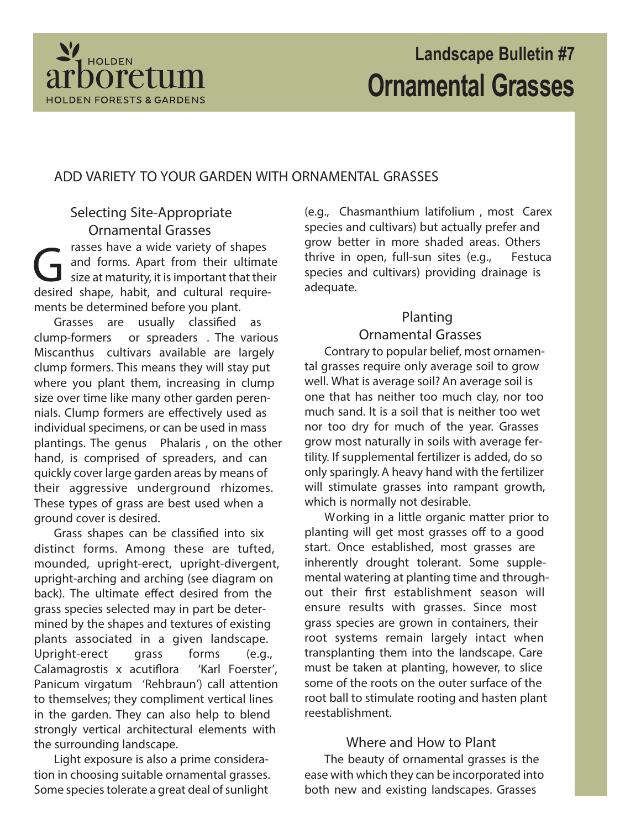

# **Landscape Bulletin #7 Ornamental Grasses**

#### **ADD VARIETY TO YOUR GARDEN WITH ORNAMENTAL GRASSES**

**Selecting Site-Appropriate Ornamental Grasses** rasses have a wide variety of shapes

rasses have a wide variety of shapes<br>and forms. Apart from their ultimat<br>size at maturity, it is important that their<br>desired shape, habit, and cultural requireand forms. Apart from their ultimate size at maturity, it is important that their ments be determined before you plant.

Grasses are usually classified as **clump-formers** or **spreaders** . The various Miscanthus cultivars available are largely clump formers. This means they will stay put where you plant them, increasing in clump size over time like many other garden perennials. Clump formers are effectively used as individual specimens, or can be used in mass plantings. The genus Phalaris , on the other hand, is comprised of spreaders, and can quickly cover large garden areas by means of their aggressive underground rhizomes. These types of grass are best used when a ground cover is desired.

Grass shapes can be classified into six distinct forms. Among these are tufted, mounded, upright-erect, upright-divergent, upright-arching and arching (see diagram on back). The ultimate effect desired from the grass species selected may in part be determined by the shapes and textures of existing plants associated in a given landscape. Upright-erect grass forms (e.g., Calamagrostis x acutiflora 'Karl Foerster', Panicum virgatum 'Rehbraun') call attention to themselves; they compliment vertical lines in the garden. They can also help to blend strongly vertical architectural elements with the surrounding landscape.

Light exposure is also a prime consideration in choosing suitable ornamental grasses. Some species tolerate a great deal of sunlight

(e.g., Chasmanthium latifolium , most Carex species and cultivars) but actually prefer and grow better in more shaded areas. Others thrive in open, full-sun sites (e.g., Festuca species and cultivars) providing drainage is adequate.

## **Planting**

### **Ornamental Grasses**

Contrary to popular belief, most ornamental grasses require only average soil to grow well. What is average soil? An average soil is one that has neither too much clay, nor too much sand. It is a soil that is neither too wet nor too dry for much of the year. Grasses grow most naturally in soils with average fertility. If supplemental fertilizer is added, do so only sparingly. A heavy hand with the fertilizer will stimulate grasses into rampant growth, which is normally not desirable.

Working in a little organic matter prior to planting will get most grasses off to a good start. Once established, most grasses are inherently drought tolerant. Some supplemental watering at planting time and throughout their first establishment season will ensure results with grasses. Since most grass species are grown in containers, their root systems remain largely intact when transplanting them into the landscape. Care must be taken at planting, however, to slice some of the roots on the outer surface of the root ball to stimulate rooting and hasten plant reestablishment.

#### **Where and How to Plant**

The beauty of ornamental grasses is the ease with which they can be incorporated into both new and existing landscapes. Grasses